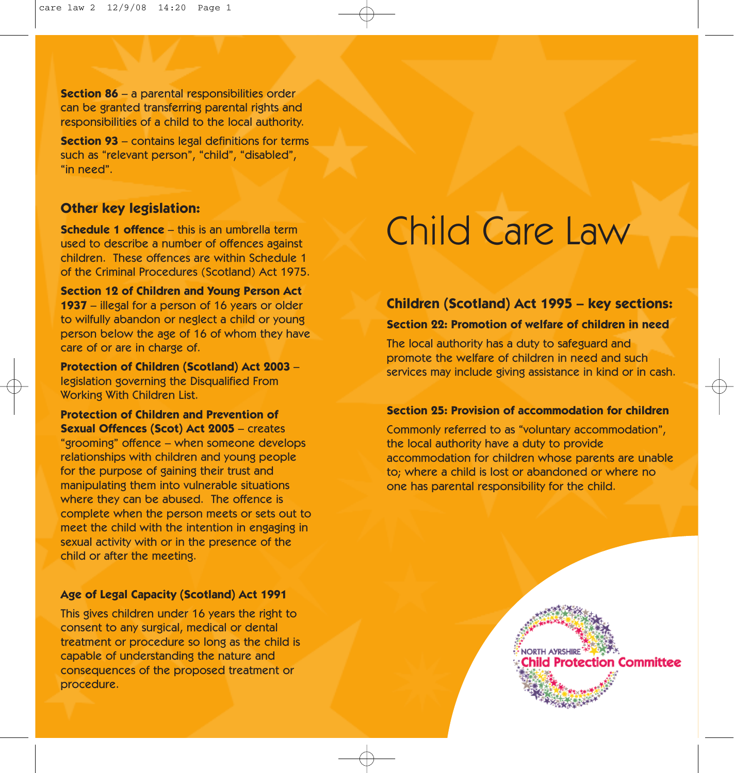**Section 86** – a parental responsibilities order can be granted transferring parental rights and responsibilities of a child to the local authority.

**Section 93** – contains legal definitions for terms such as "relevant person", "child", "disabled", "in need".

## **Other key legislation:**

**Schedule 1 offence** – this is an umbrella term used to describe a number of offences against children. These offences are within Schedule 1 of the Criminal Procedures (Scotland) Act 1975.

**Section 12 of Children and Young Person Act 1937** – illegal for a person of 16 years or older to wilfully abandon or neglect a child or young person below the age of 16 of whom they have care of or are in charge of.

**Protection of Children (Scotland) Act 2003** – legislation governing the Disqualified From Working With Children List.

**Protection of Children and Prevention of Sexual Offences (Scot) Act 2005** – creates "grooming" offence – when someone develops relationships with children and young people for the purpose of gaining their trust and manipulating them into vulnerable situations where they can be abused. The offence is complete when the person meets or sets out to meet the child with the intention in engaging in sexual activity with or in the presence of the child or after the meeting.

#### **Age of Legal Capacity (Scotland) Act 1991**

This gives children under 16 years the right to consent to any surgical, medical or dental treatment or procedure so long as the child is capable of understanding the nature and consequences of the proposed treatment or procedure.

# Child Care Law

# **Children (Scotland) Act 1995 – key sections:**

#### **Section 22: Promotion of welfare of children in need**

The local authority has a duty to safeguard and promote the welfare of children in need and such services may include giving assistance in kind or in cash.

#### **Section 25: Provision of accommodation for children**

Commonly referred to as "voluntary accommodation", the local authority have a duty to provide accommodation for children whose parents are unable to; where a child is lost or abandoned or where no one has parental responsibility for the child.

> **NORTH AYRSHIRE** hild Protection Committee